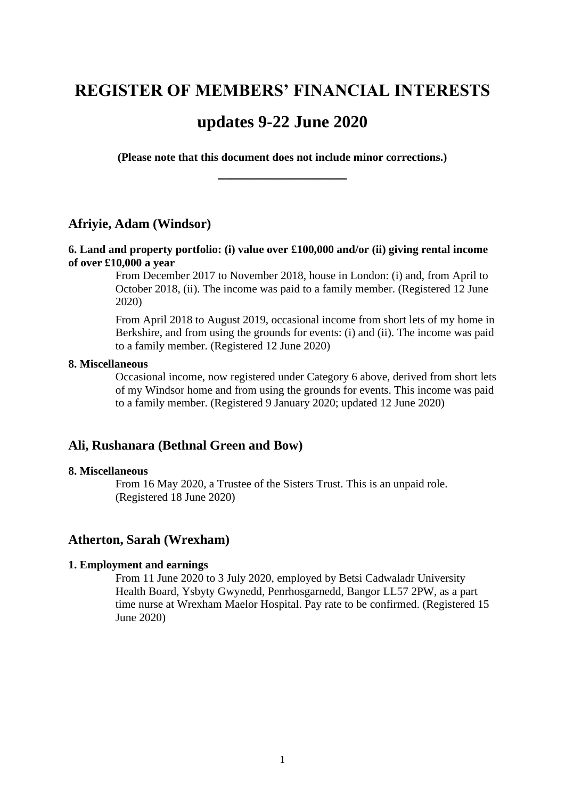# **REGISTER OF MEMBERS' FINANCIAL INTERESTS**

# **updates 9-22 June 2020**

**(Please note that this document does not include minor corrections.) \_\_\_\_\_\_\_\_\_\_\_\_\_\_\_\_\_**

# **Afriyie, Adam (Windsor)**

### **6. Land and property portfolio: (i) value over £100,000 and/or (ii) giving rental income of over £10,000 a year**

From December 2017 to November 2018, house in London: (i) and, from April to October 2018, (ii). The income was paid to a family member. (Registered 12 June 2020)

From April 2018 to August 2019, occasional income from short lets of my home in Berkshire, and from using the grounds for events: (i) and (ii). The income was paid to a family member. (Registered 12 June 2020)

#### **8. Miscellaneous**

Occasional income, now registered under Category 6 above, derived from short lets of my Windsor home and from using the grounds for events. This income was paid to a family member. (Registered 9 January 2020; updated 12 June 2020)

## **Ali, Rushanara (Bethnal Green and Bow)**

#### **8. Miscellaneous**

From 16 May 2020, a Trustee of the Sisters Trust. This is an unpaid role. (Registered 18 June 2020)

#### **Atherton, Sarah (Wrexham)**

#### **1. Employment and earnings**

From 11 June 2020 to 3 July 2020, employed by Betsi Cadwaladr University Health Board, Ysbyty Gwynedd, Penrhosgarnedd, Bangor LL57 2PW, as a part time nurse at Wrexham Maelor Hospital. Pay rate to be confirmed. (Registered 15 June 2020)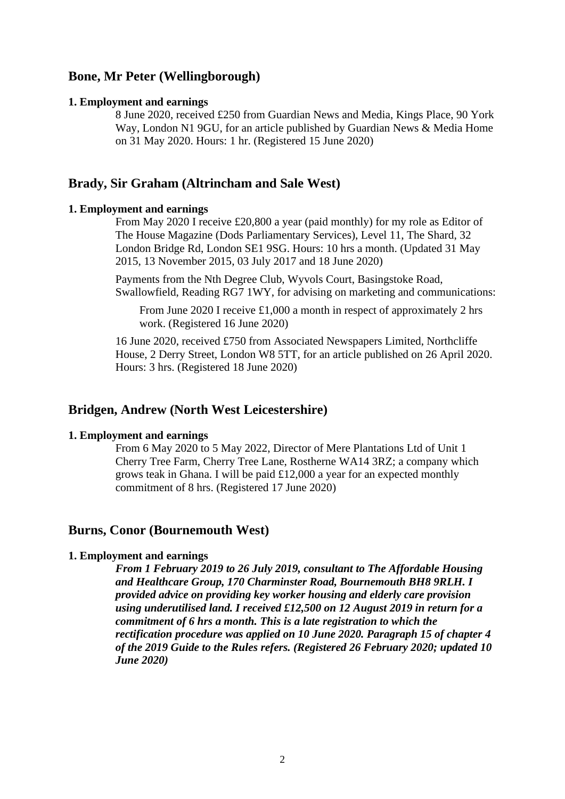# **Bone, Mr Peter (Wellingborough)**

#### **1. Employment and earnings**

8 June 2020, received £250 from Guardian News and Media, Kings Place, 90 York Way, London N1 9GU, for an article published by Guardian News & Media Home on 31 May 2020. Hours: 1 hr. (Registered 15 June 2020)

# **Brady, Sir Graham (Altrincham and Sale West)**

#### **1. Employment and earnings**

From May 2020 I receive £20,800 a year (paid monthly) for my role as Editor of The House Magazine (Dods Parliamentary Services), Level 11, The Shard, 32 London Bridge Rd, London SE1 9SG. Hours: 10 hrs a month. (Updated 31 May 2015, 13 November 2015, 03 July 2017 and 18 June 2020)

Payments from the Nth Degree Club, Wyvols Court, Basingstoke Road, Swallowfield, Reading RG7 1WY, for advising on marketing and communications:

From June 2020 I receive £1,000 a month in respect of approximately 2 hrs work. (Registered 16 June 2020)

16 June 2020, received £750 from Associated Newspapers Limited, Northcliffe House, 2 Derry Street, London W8 5TT, for an article published on 26 April 2020. Hours: 3 hrs. (Registered 18 June 2020)

# **Bridgen, Andrew (North West Leicestershire)**

#### **1. Employment and earnings**

From 6 May 2020 to 5 May 2022, Director of Mere Plantations Ltd of Unit 1 Cherry Tree Farm, Cherry Tree Lane, Rostherne WA14 3RZ; a company which grows teak in Ghana. I will be paid £12,000 a year for an expected monthly commitment of 8 hrs. (Registered 17 June 2020)

## **Burns, Conor (Bournemouth West)**

#### **1. Employment and earnings**

*From 1 February 2019 to 26 July 2019, consultant to The Affordable Housing and Healthcare Group, 170 Charminster Road, Bournemouth BH8 9RLH. I provided advice on providing key worker housing and elderly care provision using underutilised land. I received £12,500 on 12 August 2019 in return for a commitment of 6 hrs a month. This is a late registration to which the rectification procedure was applied on 10 June 2020. Paragraph 15 of chapter 4 of the 2019 Guide to the Rules refers. (Registered 26 February 2020; updated 10 June 2020)*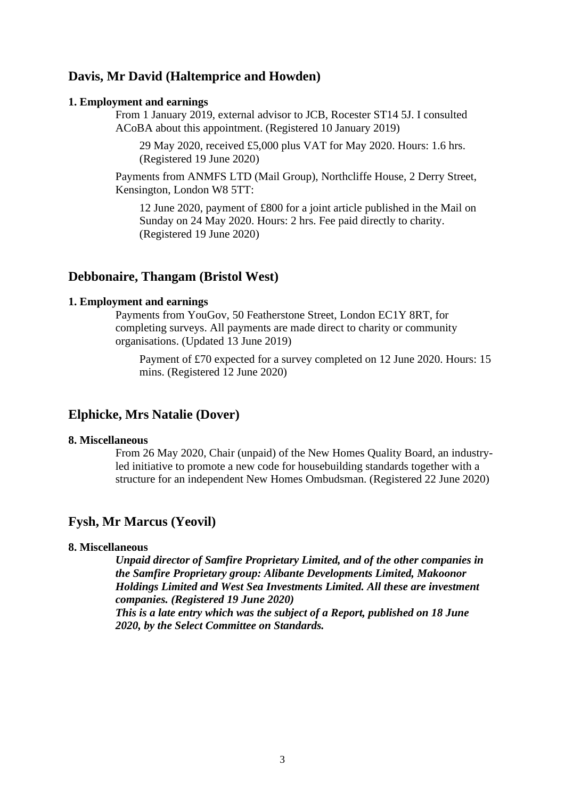# **Davis, Mr David (Haltemprice and Howden)**

#### **1. Employment and earnings**

From 1 January 2019, external advisor to JCB, Rocester ST14 5J. I consulted ACoBA about this appointment. (Registered 10 January 2019)

29 May 2020, received £5,000 plus VAT for May 2020. Hours: 1.6 hrs. (Registered 19 June 2020)

Payments from ANMFS LTD (Mail Group), Northcliffe House, 2 Derry Street, Kensington, London W8 5TT:

12 June 2020, payment of £800 for a joint article published in the Mail on Sunday on 24 May 2020. Hours: 2 hrs. Fee paid directly to charity. (Registered 19 June 2020)

# **Debbonaire, Thangam (Bristol West)**

#### **1. Employment and earnings**

Payments from YouGov, 50 Featherstone Street, London EC1Y 8RT, for completing surveys. All payments are made direct to charity or community organisations. (Updated 13 June 2019)

Payment of £70 expected for a survey completed on 12 June 2020. Hours: 15 mins. (Registered 12 June 2020)

# **Elphicke, Mrs Natalie (Dover)**

#### **8. Miscellaneous**

From 26 May 2020, Chair (unpaid) of the New Homes Quality Board, an industryled initiative to promote a new code for housebuilding standards together with a structure for an independent New Homes Ombudsman. (Registered 22 June 2020)

# **Fysh, Mr Marcus (Yeovil)**

### **8. Miscellaneous**

*Unpaid director of Samfire Proprietary Limited, and of the other companies in the Samfire Proprietary group: Alibante Developments Limited, Makoonor Holdings Limited and West Sea Investments Limited. All these are investment companies. (Registered 19 June 2020) This is a late entry which was the subject of a Report, published on 18 June 2020, by the Select Committee on Standards.*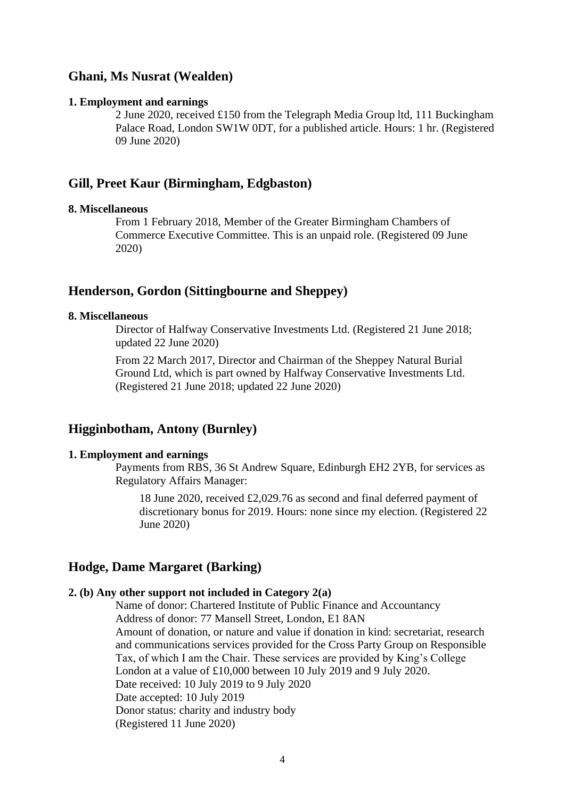# **Ghani, Ms Nusrat (Wealden)**

#### **1. Employment and earnings**

2 June 2020, received £150 from the Telegraph Media Group ltd, 111 Buckingham Palace Road, London SW1W 0DT, for a published article. Hours: 1 hr. (Registered 09 June 2020)

# **Gill, Preet Kaur (Birmingham, Edgbaston)**

#### **8. Miscellaneous**

From 1 February 2018, Member of the Greater Birmingham Chambers of Commerce Executive Committee. This is an unpaid role. (Registered 09 June 2020)

### **Henderson, Gordon (Sittingbourne and Sheppey)**

#### **8. Miscellaneous**

Director of Halfway Conservative Investments Ltd. (Registered 21 June 2018; updated 22 June 2020)

From 22 March 2017, Director and Chairman of the Sheppey Natural Burial Ground Ltd, which is part owned by Halfway Conservative Investments Ltd. (Registered 21 June 2018; updated 22 June 2020)

# **Higginbotham, Antony (Burnley)**

#### **1. Employment and earnings**

Payments from RBS, 36 St Andrew Square, Edinburgh EH2 2YB, for services as Regulatory Affairs Manager:

18 June 2020, received £2,029.76 as second and final deferred payment of discretionary bonus for 2019. Hours: none since my election. (Registered 22 June 2020)

### **Hodge, Dame Margaret (Barking)**

#### **2. (b) Any other support not included in Category 2(a)**

Name of donor: Chartered Institute of Public Finance and Accountancy Address of donor: 77 Mansell Street, London, E1 8AN Amount of donation, or nature and value if donation in kind: secretariat, research and communications services provided for the Cross Party Group on Responsible Tax, of which I am the Chair. These services are provided by King's College London at a value of £10,000 between 10 July 2019 and 9 July 2020. Date received: 10 July 2019 to 9 July 2020 Date accepted: 10 July 2019 Donor status: charity and industry body (Registered 11 June 2020)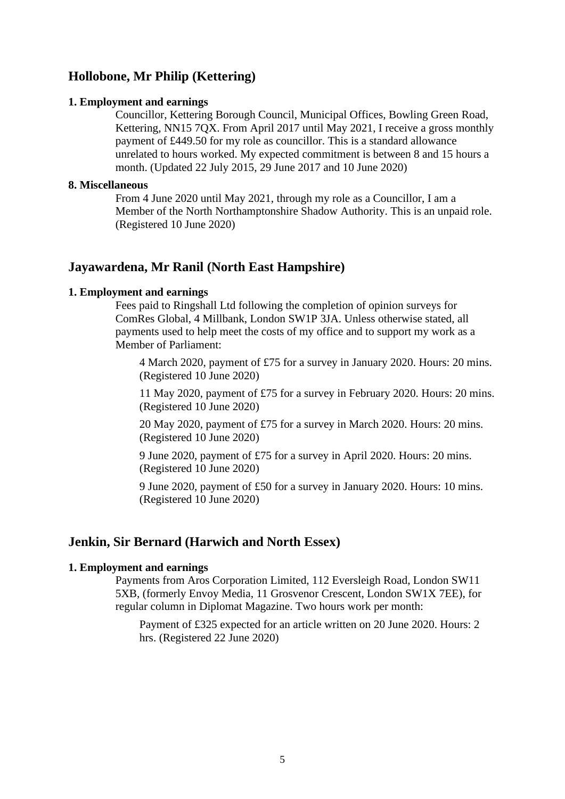# **Hollobone, Mr Philip (Kettering)**

#### **1. Employment and earnings**

Councillor, Kettering Borough Council, Municipal Offices, Bowling Green Road, Kettering, NN15 7QX. From April 2017 until May 2021, I receive a gross monthly payment of £449.50 for my role as councillor. This is a standard allowance unrelated to hours worked. My expected commitment is between 8 and 15 hours a month. (Updated 22 July 2015, 29 June 2017 and 10 June 2020)

#### **8. Miscellaneous**

From 4 June 2020 until May 2021, through my role as a Councillor, I am a Member of the North Northamptonshire Shadow Authority. This is an unpaid role. (Registered 10 June 2020)

# **Jayawardena, Mr Ranil (North East Hampshire)**

#### **1. Employment and earnings**

Fees paid to Ringshall Ltd following the completion of opinion surveys for ComRes Global, 4 Millbank, London SW1P 3JA. Unless otherwise stated, all payments used to help meet the costs of my office and to support my work as a Member of Parliament:

4 March 2020, payment of £75 for a survey in January 2020. Hours: 20 mins. (Registered 10 June 2020)

11 May 2020, payment of £75 for a survey in February 2020. Hours: 20 mins. (Registered 10 June 2020)

20 May 2020, payment of £75 for a survey in March 2020. Hours: 20 mins. (Registered 10 June 2020)

9 June 2020, payment of £75 for a survey in April 2020. Hours: 20 mins. (Registered 10 June 2020)

9 June 2020, payment of £50 for a survey in January 2020. Hours: 10 mins. (Registered 10 June 2020)

# **Jenkin, Sir Bernard (Harwich and North Essex)**

### **1. Employment and earnings**

Payments from Aros Corporation Limited, 112 Eversleigh Road, London SW11 5XB, (formerly Envoy Media, 11 Grosvenor Crescent, London SW1X 7EE), for regular column in Diplomat Magazine. Two hours work per month:

Payment of £325 expected for an article written on 20 June 2020. Hours: 2 hrs. (Registered 22 June 2020)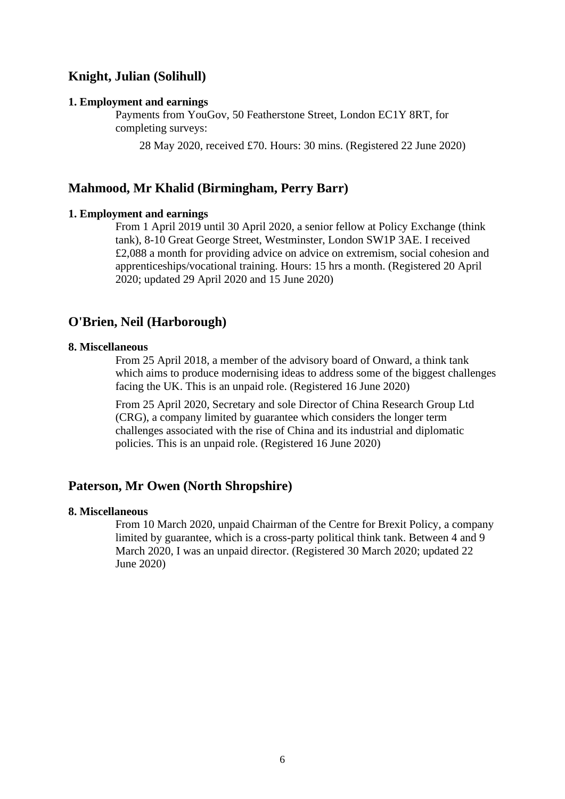# **Knight, Julian (Solihull)**

#### **1. Employment and earnings**

Payments from YouGov, 50 Featherstone Street, London EC1Y 8RT, for completing surveys:

28 May 2020, received £70. Hours: 30 mins. (Registered 22 June 2020)

## **Mahmood, Mr Khalid (Birmingham, Perry Barr)**

### **1. Employment and earnings**

From 1 April 2019 until 30 April 2020, a senior fellow at Policy Exchange (think tank), 8-10 Great George Street, Westminster, London SW1P 3AE. I received £2,088 a month for providing advice on advice on extremism, social cohesion and apprenticeships/vocational training. Hours: 15 hrs a month. (Registered 20 April 2020; updated 29 April 2020 and 15 June 2020)

# **O'Brien, Neil (Harborough)**

### **8. Miscellaneous**

From 25 April 2018, a member of the advisory board of Onward, a think tank which aims to produce modernising ideas to address some of the biggest challenges facing the UK. This is an unpaid role. (Registered 16 June 2020)

From 25 April 2020, Secretary and sole Director of China Research Group Ltd (CRG), a company limited by guarantee which considers the longer term challenges associated with the rise of China and its industrial and diplomatic policies. This is an unpaid role. (Registered 16 June 2020)

# **Paterson, Mr Owen (North Shropshire)**

#### **8. Miscellaneous**

From 10 March 2020, unpaid Chairman of the Centre for Brexit Policy, a company limited by guarantee, which is a cross-party political think tank. Between 4 and 9 March 2020, I was an unpaid director. (Registered 30 March 2020; updated 22 June 2020)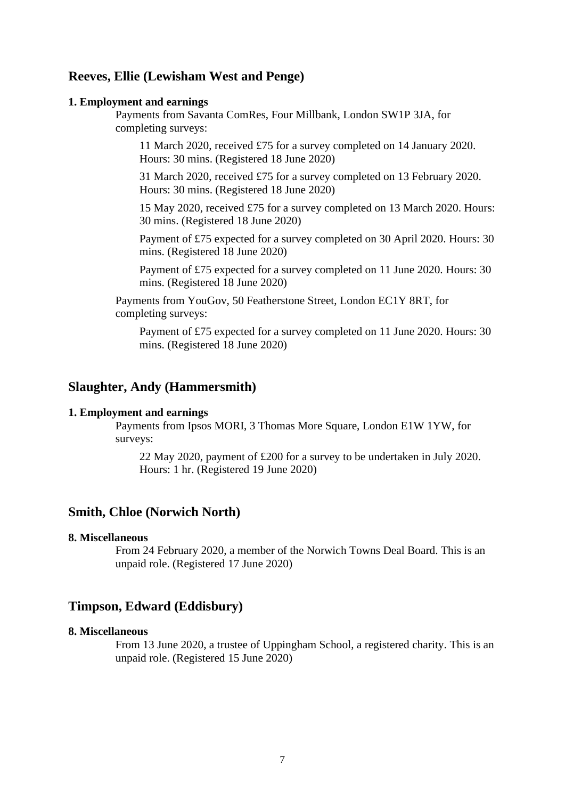# **Reeves, Ellie (Lewisham West and Penge)**

#### **1. Employment and earnings**

Payments from Savanta ComRes, Four Millbank, London SW1P 3JA, for completing surveys:

11 March 2020, received £75 for a survey completed on 14 January 2020. Hours: 30 mins. (Registered 18 June 2020)

31 March 2020, received £75 for a survey completed on 13 February 2020. Hours: 30 mins. (Registered 18 June 2020)

15 May 2020, received £75 for a survey completed on 13 March 2020. Hours: 30 mins. (Registered 18 June 2020)

Payment of £75 expected for a survey completed on 30 April 2020. Hours: 30 mins. (Registered 18 June 2020)

Payment of £75 expected for a survey completed on 11 June 2020. Hours: 30 mins. (Registered 18 June 2020)

Payments from YouGov, 50 Featherstone Street, London EC1Y 8RT, for completing surveys:

Payment of £75 expected for a survey completed on 11 June 2020. Hours: 30 mins. (Registered 18 June 2020)

## **Slaughter, Andy (Hammersmith)**

#### **1. Employment and earnings**

Payments from Ipsos MORI, 3 Thomas More Square, London E1W 1YW, for surveys:

22 May 2020, payment of £200 for a survey to be undertaken in July 2020. Hours: 1 hr. (Registered 19 June 2020)

### **Smith, Chloe (Norwich North)**

#### **8. Miscellaneous**

From 24 February 2020, a member of the Norwich Towns Deal Board. This is an unpaid role. (Registered 17 June 2020)

## **Timpson, Edward (Eddisbury)**

#### **8. Miscellaneous**

From 13 June 2020, a trustee of Uppingham School, a registered charity. This is an unpaid role. (Registered 15 June 2020)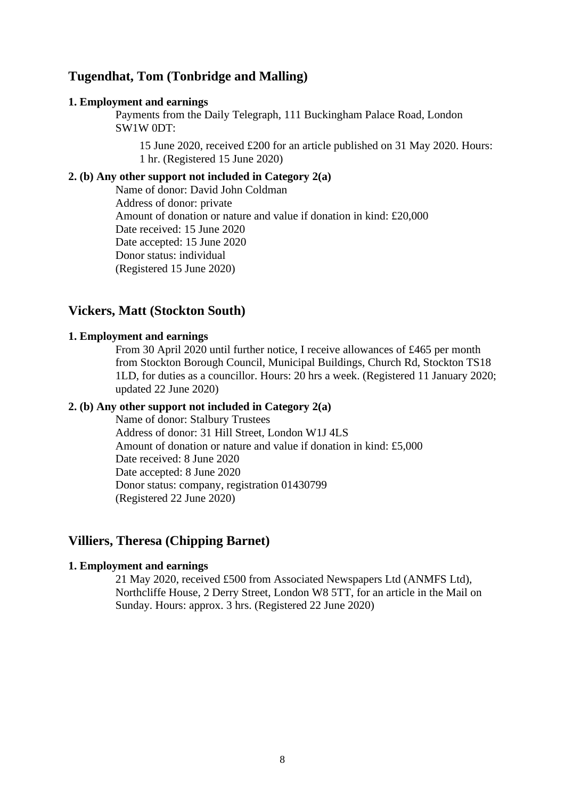# **Tugendhat, Tom (Tonbridge and Malling)**

#### **1. Employment and earnings**

Payments from the Daily Telegraph, 111 Buckingham Palace Road, London SW1W 0DT:

15 June 2020, received £200 for an article published on 31 May 2020. Hours: 1 hr. (Registered 15 June 2020)

### **2. (b) Any other support not included in Category 2(a)**

Name of donor: David John Coldman Address of donor: private Amount of donation or nature and value if donation in kind: £20,000 Date received: 15 June 2020 Date accepted: 15 June 2020 Donor status: individual (Registered 15 June 2020)

# **Vickers, Matt (Stockton South)**

#### **1. Employment and earnings**

From 30 April 2020 until further notice, I receive allowances of £465 per month from Stockton Borough Council, Municipal Buildings, Church Rd, Stockton TS18 1LD, for duties as a councillor. Hours: 20 hrs a week. (Registered 11 January 2020; updated 22 June 2020)

### **2. (b) Any other support not included in Category 2(a)**

Name of donor: Stalbury Trustees Address of donor: 31 Hill Street, London W1J 4LS Amount of donation or nature and value if donation in kind: £5,000 Date received: 8 June 2020 Date accepted: 8 June 2020 Donor status: company, registration 01430799 (Registered 22 June 2020)

### **Villiers, Theresa (Chipping Barnet)**

# **1. Employment and earnings**

21 May 2020, received £500 from Associated Newspapers Ltd (ANMFS Ltd), Northcliffe House, 2 Derry Street, London W8 5TT, for an article in the Mail on Sunday. Hours: approx. 3 hrs. (Registered 22 June 2020)